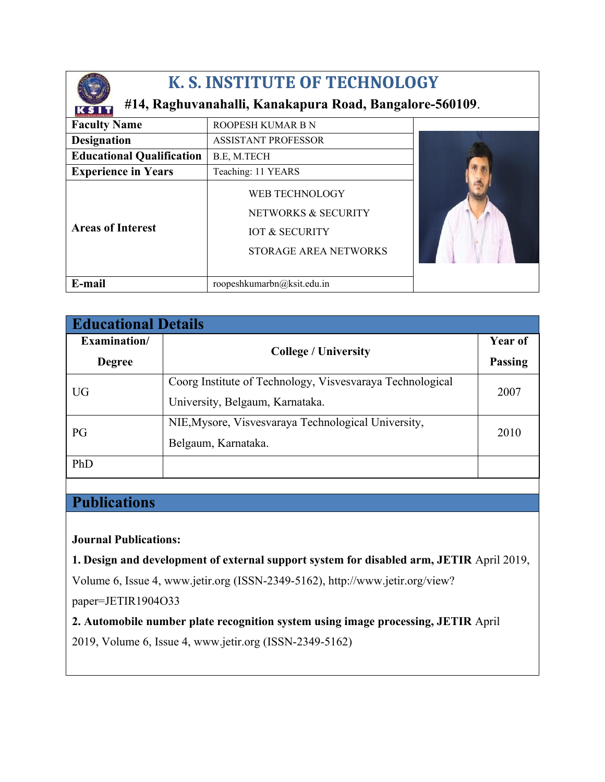

# **K. S. INSTITUTE OF TECHNOLOGY**

### **#14, Raghuvanahalli, Kanakapura Road, Bangalore-560109**.

| <b>K. L. INSTITUTE OF FECHNELOG</b> |                                                                                             |  |
|-------------------------------------|---------------------------------------------------------------------------------------------|--|
| <b>Faculty Name</b>                 | ROOPESH KUMAR B N                                                                           |  |
| <b>Designation</b>                  | <b>ASSISTANT PROFESSOR</b>                                                                  |  |
| <b>Educational Qualification</b>    | B.E, M.TECH                                                                                 |  |
| <b>Experience in Years</b>          | Teaching: 11 YEARS                                                                          |  |
| <b>Areas of Interest</b>            | WEB TECHNOLOGY<br>NETWORKS & SECURITY<br><b>IOT &amp; SECURITY</b><br>STORAGE AREA NETWORKS |  |
| E-mail                              | roopeshkumarbn@ksit.edu.in                                                                  |  |

| <b>Educational Details</b> |                                                           |                |  |
|----------------------------|-----------------------------------------------------------|----------------|--|
| Examination/               | <b>College / University</b>                               | Year of        |  |
| <b>Degree</b>              |                                                           | <b>Passing</b> |  |
| UG                         | Coorg Institute of Technology, Visvesvaraya Technological | 2007           |  |
|                            | University, Belgaum, Karnataka.                           |                |  |
| PG                         | NIE, Mysore, Visvesvaraya Technological University,       | 2010           |  |
|                            | Belgaum, Karnataka.                                       |                |  |
| PhD                        |                                                           |                |  |

## **Publications**

### **Journal Publications:**

**1. Design and development of external support system for disabled arm, JETIR** April 2019,

Volume 6, Issue 4, www.jetir.org (ISSN-2349-5162), http://www.jetir.org/view?

paper=JETIR1904O33

**2. Automobile number plate recognition system using image processing, JETIR** April

2019, Volume 6, Issue 4, www.jetir.org (ISSN-2349-5162)